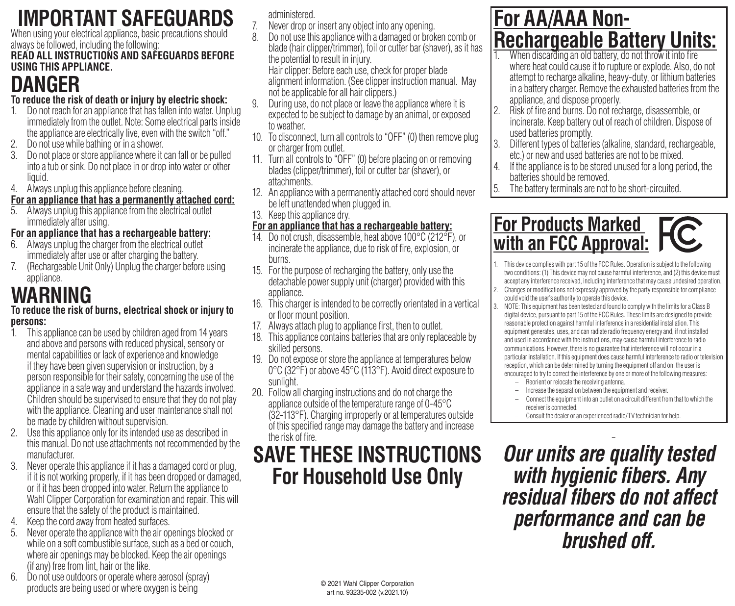# **IMPORTANT SAFEGUARDS**

When using your electrical appliance, basic precautions should always be followed, including the following:

#### **READ ALL INSTRUCTIONS AND SAFEGUARDS BEFORE USING THIS APPLIANCE.**

# **DANGER**

### **To reduce the risk of death or injury by electric shock:**

- 1. Do not reach for an appliance that has fallen into water. Unplug immediately from the outlet. Note: Some electrical parts inside the appliance are electrically live, even with the switch "off."
- 2. Do not use while bathing or in a shower.
- 3. Do not place or store appliance where it can fall or be pulled into a tub or sink. Do not place in or drop into water or other liquid.
- 4. Always unplug this appliance before cleaning.
- **For an appliance that has a permanently attached cord:**
- 5. Always unplug this appliance from the electrical outlet immediately after using.

### **For an appliance that has a rechargeable battery:**

- 6. Always unplug the charger from the electrical outlet immediately after use or after charging the battery.
- 7. (Rechargeable Unit Only) Unplug the charger before using appliance.

# **WARNING**

#### **To reduce the risk of burns, electrical shock or injury to persons:**

- 1. This appliance can be used by children aged from 14 years and above and persons with reduced physical, sensory or mental capabilities or lack of experience and knowledge if they have been given supervision or instruction, by a person responsible for their safety, concerning the use of the appliance in a safe way and understand the hazards involved. Children should be supervised to ensure that they do not play with the appliance. Cleaning and user maintenance shall not be made by children without supervision.
- 2. Use this appliance only for its intended use as described in this manual. Do not use attachments not recommended by the manufacturer.
- 3. Never operate this appliance if it has a damaged cord or plug, if it is not working properly, if it has been dropped or damaged, or if it has been dropped into water. Return the appliance to Wahl Clipper Corporation for examination and repair. This will ensure that the safety of the product is maintained.
- 4. Keep the cord away from heated surfaces.
- 5. Never operate the appliance with the air openings blocked or while on a soft combustible surface, such as a bed or couch, where air openings may be blocked. Keep the air openings (ifany) free from lint, hair or the like.
- 6. Do not use outdoors or operate where aerosol (spray) products are being used or where oxygen is being

administered.

- 7. Never drop or insert any object into any opening.
- 8. Do not use this appliance with a damaged or broken comb or blade (hair clipper/trimmer), foil or cutter bar (shaver), as it has the potential to result in injury. Hair clipper: Before each use, check for proper blade

alignment information. (See clipper instruction manual. May not be applicable for all hair clippers.)

- 9. During use, do not place or leave the appliance where it is expected to be subject to damage by an animal, or exposed to weather.
- 10. To disconnect, turn all controls to "OFF" (0) then remove plug or charger from outlet.
- 11. Turn all controls to "OFF" (0) before placing on or removing blades (clipper/trimmer), foil or cutter bar (shaver), or attachments.
- 12. An appliance with a permanently attached cord should never be left unattended when plugged in.
- 13. Keep this appliance dry.

### **For an appliance that has a rechargeable battery:**

- 14. Do not crush, disassemble, heat above 100°C (212°F), or incinerate the appliance, due to risk of fire, explosion, or burns.
- 15. For the purpose of recharging the battery, only use the detachable power supply unit (charger) provided with this appliance.
- 16. This charger is intended to be correctly orientated in a vertical or floor mount position.
- 17. Always attach plug to appliance first, then to outlet.
- 18. This appliance contains batteries that are only replaceable by skilled persons.
- 19. Do not expose or store the appliance at temperatures below 0°C (32°F) or above 45°C (113°F). Avoid direct exposure to sunlight.
- 20. Follow all charging instructions and do not charge the appliance outside of the temperature range of 0-45°C (32-113°F). Charging improperly or at temperatures outside of this specified range may damage the battery and increase the risk of fire.

## **SAVE THESE INSTRUCTIONS For Household Use Only**

## **For AA/AAA Non-Rechargeable Battery Units:**

- When discarding an old battery, do not throw it into fire where heat could cause it to rupture or explode. Also, do not attempt to recharge alkaline, heavy-duty, or lithium batteries in a battery charger. Remove the exhausted batteries from the appliance, and dispose properly.
- 2. Risk of fire and burns. Do not recharge, disassemble, or incinerate. Keep battery out of reach of children. Dispose of used batteries promptly.
- 3. Different types of batteries (alkaline, standard, rechargeable, etc.) or new and used batteries are not to be mixed.
- 4. If the appliance is to be stored unused for a long period, the batteries should be removed.
- 5. The battery terminals are not to be short-circuited.

### **For Products Marked with an FCC Approval:**

- 1. This device complies with part 15 of the FCC Rules. Operation is subject to the following two conditions: (1) This device may not cause harmful interference, and (2) this device must accept any interference received, including interference that may cause undesired operation. 2. Changes or modifications not expressly approved by the party responsible for compliance
	- could void the user's authority to operate this device.
- 3. NOTE: This equipment has been tested and found to comply with the limits for a Class B digital device, pursuant to part 15 of the FCC Rules. These limits are designed to provide reasonable protection against harmful interference in a residential installation. This equipment generates, uses, and can radiate radio frequency energy and, if not installed and used in accordance with the instructions, may cause harmful interference to radio communications. However, there is no guarantee that interference will not occur in a particular installation. If this equipment does cause harmful interference to radio or television reception, which can be determined by turning the equipment off and on, the user is encouraged to try to correct the interference by one or more of the following measures:
	- Reorient or relocate the receiving antenna.
	- Increase the separation between the equipment and receiver.
	- Connect the equipment into an outlet on a circuit different from that to which the receiver is connected.
	- Consult the dealer or an experienced radio/TV technician for help.

– *Our units are quality tested with hygienic fibers. Any residual fibers do not affect performance and can be brushed off.*